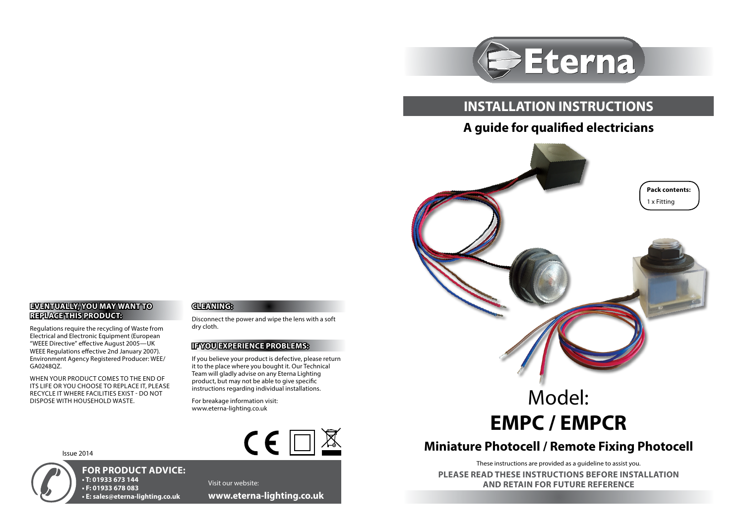

## **INSTALLATION INSTRUCTIONS**

## **A guide for qualified electricians**



# Model: **EMPC / EMPCR**

## **Miniature Photocell / Remote Fixing Photocell**

These instructions are provided as a guideline to assist you.

**PLEASE READ THESE INSTRUCTIONS BEFORE INSTALLATION AND RETAIN FOR FUTURE REFERENCE**

### **EVENTUALLY, YOU MAY WANT TO REPLACE THIS PRODUCT:**

Regulations require the recycling of Waste from Electrical and Electronic Equipment (European "WEEE Directive" effective August 2005—UK WEEE Regulations effective 2nd January 2007). Environment Agency Registered Producer: WEE/ GA0248QZ.

WHEN YOUR PRODUCT COMES TO THE END OF ITS LIFE OR YOU CHOOSE TO REPLACE IT, PLEASE RECYCLE IT WHERE FACILITIES EXIST - DO NOT DISPOSE WITH HOUSEHOLD WASTE.

#### **CLEANING:**

Disconnect the power and wipe the lens with a soft dry cloth.

#### **IF YOU EXPERIENCE PROBLEMS:**

If you believe your product is defective, please return it to the place where you bought it. Our Technical Team will gladly advise on any Eterna Lighting product, but may not be able to give specific instructions regarding individual installations.

For breakage information visit: www.eterna-lighting.co.uk



Issue 2014



**FOR PRODUCT ADVICE: • T: 01933 673 144 • F: 01933 678 083 • E: sales@eterna-lighting.co.uk**

Visit our website: **www.eterna-lighting.co.uk**